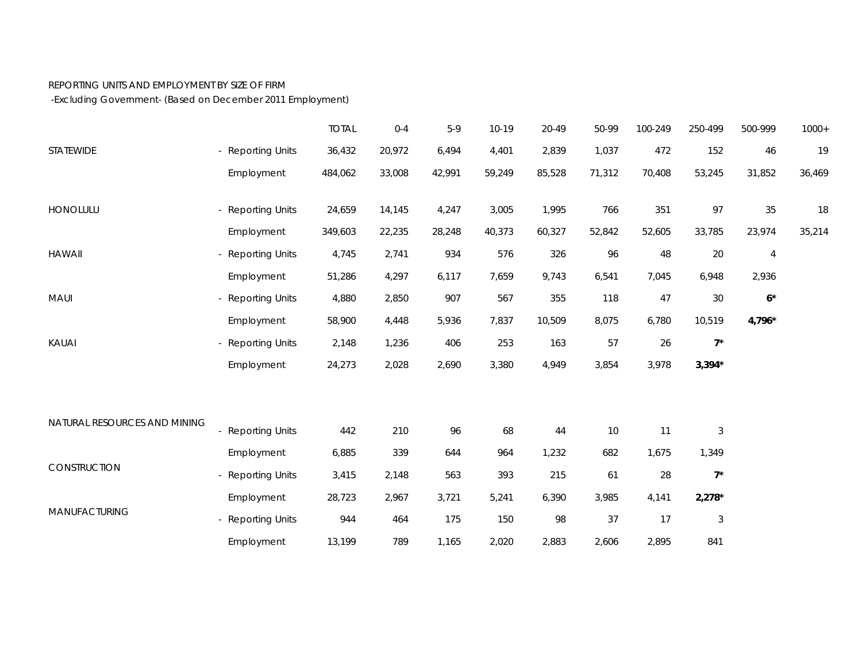## REPORTING UNITS AND EMPLOYMENT BY SIZE OF FIRM

-Excluding Government- (Based on December 2011 Employment)

|                              |                   | <b>TOTAL</b> | $0 - 4$ | $5-9$  | $10-19$ | 20-49  | 50-99  | 100-249 | 250-499                   | 500-999        | $1000+$ |
|------------------------------|-------------------|--------------|---------|--------|---------|--------|--------|---------|---------------------------|----------------|---------|
| STATEWIDE                    | - Reporting Units | 36,432       | 20,972  | 6,494  | 4,401   | 2,839  | 1,037  | 472     | 152                       | 46             | 19      |
|                              | Employment        | 484,062      | 33,008  | 42,991 | 59,249  | 85,528 | 71,312 | 70,408  | 53,245                    | 31,852         | 36,469  |
| HONOLULU                     | - Reporting Units | 24,659       | 14,145  | 4,247  | 3,005   | 1,995  | 766    | 351     | 97                        | 35             | 18      |
|                              | Employment        | 349,603      | 22,235  | 28,248 | 40,373  | 60,327 | 52,842 | 52,605  | 33,785                    | 23,974         | 35,214  |
| <b>HAWAII</b>                | - Reporting Units | 4,745        | 2,741   | 934    | 576     | 326    | 96     | 48      | 20                        | $\overline{4}$ |         |
|                              | Employment        | 51,286       | 4,297   | 6,117  | 7,659   | 9,743  | 6,541  | 7,045   | 6,948                     | 2,936          |         |
| MAUI                         | - Reporting Units | 4,880        | 2,850   | 907    | 567     | 355    | 118    | 47      | $30\,$                    | $6^{\star}$    |         |
|                              | Employment        | 58,900       | 4,448   | 5,936  | 7,837   | 10,509 | 8,075  | 6,780   | 10,519                    | 4,796*         |         |
| KAUAI                        | - Reporting Units | 2,148        | 1,236   | 406    | 253     | 163    | 57     | 26      | $7^{\star}$               |                |         |
|                              | Employment        | 24,273       | 2,028   | 2,690  | 3,380   | 4,949  | 3,854  | 3,978   | $3,394*$                  |                |         |
|                              |                   |              |         |        |         |        |        |         |                           |                |         |
| NATURAL RESOURCES AND MINING | - Reporting Units | 442          | 210     | 96     | 68      | 44     | 10     | 11      | $\mathfrak{Z}$            |                |         |
| CONSTRUCTION                 | Employment        | 6,885        | 339     | 644    | 964     | 1,232  | 682    | 1,675   | 1,349                     |                |         |
|                              | - Reporting Units | 3,415        | 2,148   | 563    | 393     | 215    | 61     | 28      | $7^{\star}$               |                |         |
| MANUFACTURING                | Employment        | 28,723       | 2,967   | 3,721  | 5,241   | 6,390  | 3,985  | 4,141   | $2,278*$                  |                |         |
|                              | - Reporting Units | 944          | 464     | 175    | 150     | 98     | 37     | 17      | $\ensuremath{\mathsf{3}}$ |                |         |
|                              | Employment        | 13,199       | 789     | 1,165  | 2,020   | 2,883  | 2,606  | 2,895   | 841                       |                |         |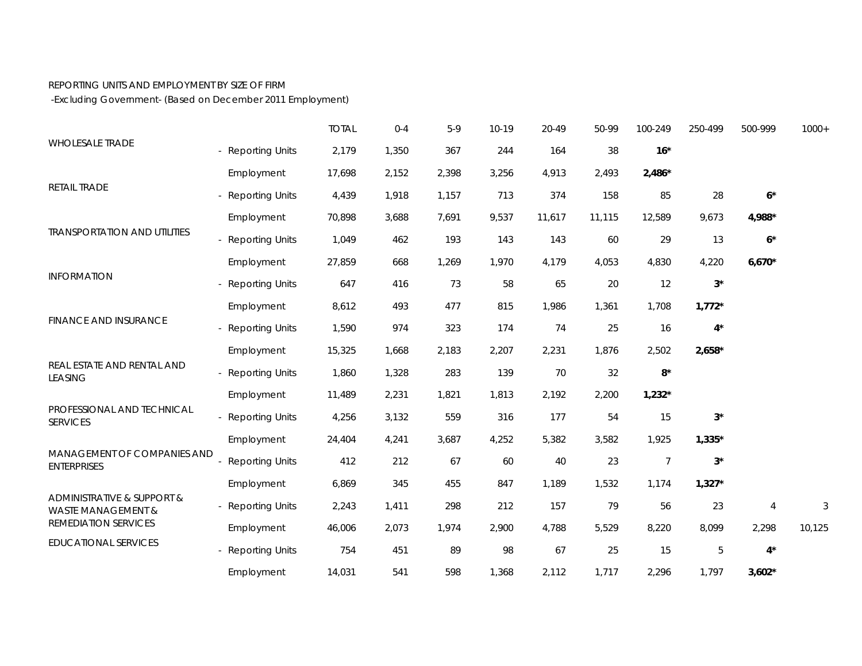## REPORTING UNITS AND EMPLOYMENT BY SIZE OF FIRM

-Excluding Government- (Based on December 2011 Employment)

| <b>WHOLESALE TRADE</b>                                                                             |                        | <b>TOTAL</b> | $0 - 4$ | $5-9$ | $10-19$ | 20-49  | 50-99  | 100-249          | 250-499     | 500-999              | $1000+$ |
|----------------------------------------------------------------------------------------------------|------------------------|--------------|---------|-------|---------|--------|--------|------------------|-------------|----------------------|---------|
|                                                                                                    | - Reporting Units      | 2,179        | 1,350   | 367   | 244     | 164    | 38     | $16*$            |             |                      |         |
| RETAIL TRADE                                                                                       | Employment             | 17,698       | 2,152   | 2,398 | 3,256   | 4,913  | 2,493  | $2,486*$         |             |                      |         |
|                                                                                                    | - Reporting Units      | 4,439        | 1,918   | 1,157 | 713     | 374    | 158    | 85               | 28          | $6^\star$            |         |
|                                                                                                    | Employment             | 70,898       | 3,688   | 7,691 | 9,537   | 11,617 | 11,115 | 12,589           | 9,673       | 4,988*               |         |
| <b>TRANSPORTATION AND UTILITIES</b>                                                                | - Reporting Units      | 1,049        | 462     | 193   | 143     | 143    | 60     | 29               | 13          | $\mathbf{6}^{\star}$ |         |
| <b>INFORMATION</b>                                                                                 | Employment             | 27,859       | 668     | 1,269 | 1,970   | 4,179  | 4,053  | 4,830            | 4,220       | $6,670*$             |         |
|                                                                                                    | - Reporting Units      | 647          | 416     | 73    | 58      | 65     | 20     | 12               | $3^{\star}$ |                      |         |
| <b>FINANCE AND INSURANCE</b>                                                                       | Employment             | 8,612        | 493     | 477   | 815     | 1,986  | 1,361  | 1,708            | $1,772*$    |                      |         |
|                                                                                                    | - Reporting Units      | 1,590        | 974     | 323   | 174     | 74     | 25     | 16               | $4^*$       |                      |         |
| REAL ESTATE AND RENTAL AND<br><b>LEASING</b>                                                       | Employment             | 15,325       | 1,668   | 2,183 | 2,207   | 2,231  | 1,876  | 2,502            | $2,658*$    |                      |         |
|                                                                                                    | - Reporting Units      | 1,860        | 1,328   | 283   | 139     | 70     | 32     | $8*$             |             |                      |         |
|                                                                                                    | Employment             | 11,489       | 2,231   | 1,821 | 1,813   | 2,192  | 2,200  | $1,232*$         |             |                      |         |
| PROFESSIONAL AND TECHNICAL<br><b>SERVICES</b><br>MANAGEMENT OF COMPANIES AND<br><b>ENTERPRISES</b> | - Reporting Units      | 4,256        | 3,132   | 559   | 316     | 177    | 54     | 15               | $3^{\star}$ |                      |         |
|                                                                                                    | Employment             | 24,404       | 4,241   | 3,687 | 4,252   | 5,382  | 3,582  | 1,925            | $1,335*$    |                      |         |
|                                                                                                    | <b>Reporting Units</b> | 412          | 212     | 67    | 60      | 40     | 23     | $\boldsymbol{7}$ | $3^{\star}$ |                      |         |
|                                                                                                    | Employment             | 6,869        | 345     | 455   | 847     | 1,189  | 1,532  | 1,174            | $1,327*$    |                      |         |
| ADMINISTRATIVE & SUPPORT &<br><b>WASTE MANAGEMENT &amp;</b><br>REMEDIATION SERVICES                | - Reporting Units      | 2,243        | 1,411   | 298   | 212     | 157    | 79     | 56               | 23          | $\overline{4}$       | 3       |
|                                                                                                    | Employment             | 46,006       | 2,073   | 1,974 | 2,900   | 4,788  | 5,529  | 8,220            | 8,099       | 2,298                | 10,125  |
| <b>EDUCATIONAL SERVICES</b>                                                                        | - Reporting Units      | 754          | 451     | 89    | 98      | 67     | 25     | 15               | $\mathbf 5$ | $4^*$                |         |
|                                                                                                    | Employment             | 14,031       | 541     | 598   | 1,368   | 2,112  | 1,717  | 2,296            | 1,797       | $3,602*$             |         |